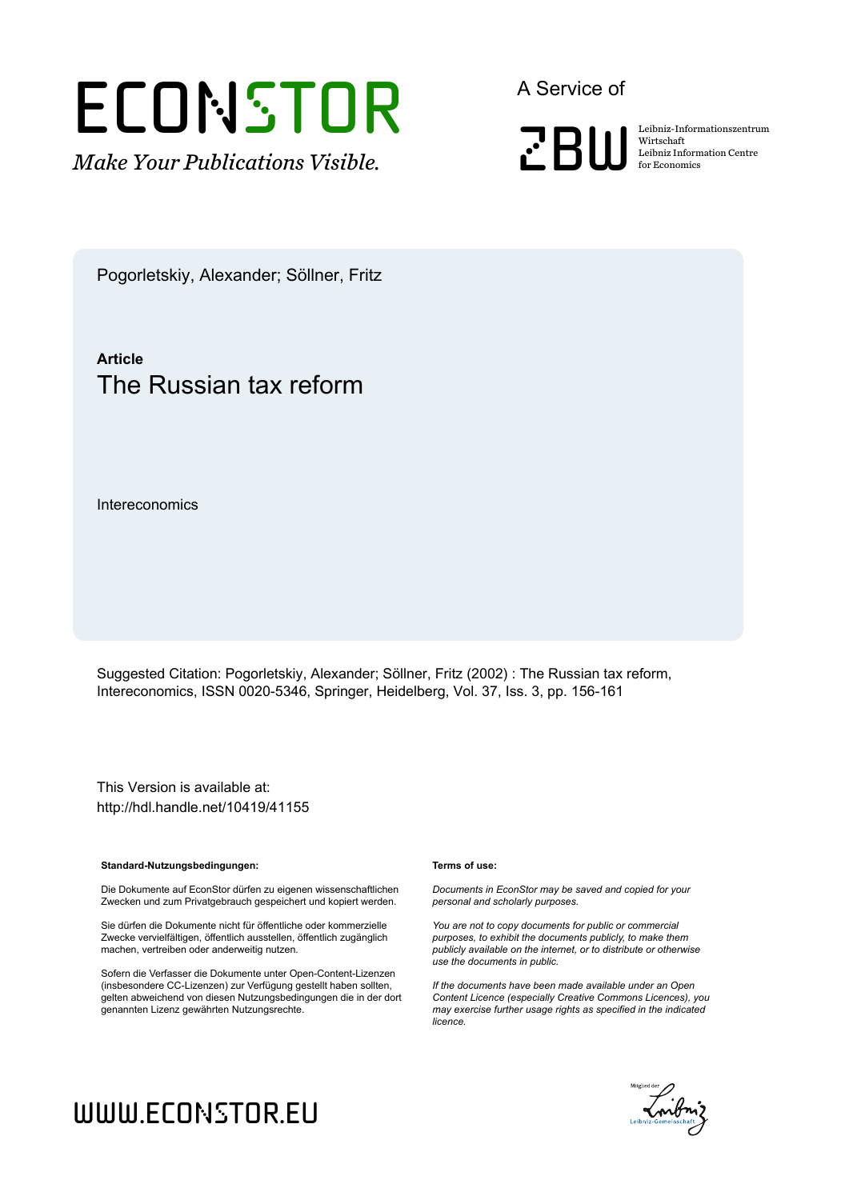# **ECONSTOR**

*Make Your Publications Visible.*

A Service of



Wirtschaft Leibniz Information Centre for Economics

Pogorletskiy, Alexander; Söllner, Fritz

### **Article** The Russian tax reform

Intereconomics

Suggested Citation: Pogorletskiy, Alexander; Söllner, Fritz (2002) : The Russian tax reform, Intereconomics, ISSN 0020-5346, Springer, Heidelberg, Vol. 37, Iss. 3, pp. 156-161

This Version is available at: http://hdl.handle.net/10419/41155

#### **Standard-Nutzungsbedingungen:**

Die Dokumente auf EconStor dürfen zu eigenen wissenschaftlichen Zwecken und zum Privatgebrauch gespeichert und kopiert werden.

Sie dürfen die Dokumente nicht für öffentliche oder kommerzielle Zwecke vervielfältigen, öffentlich ausstellen, öffentlich zugänglich machen, vertreiben oder anderweitig nutzen.

Sofern die Verfasser die Dokumente unter Open-Content-Lizenzen (insbesondere CC-Lizenzen) zur Verfügung gestellt haben sollten, gelten abweichend von diesen Nutzungsbedingungen die in der dort genannten Lizenz gewährten Nutzungsrechte.

#### **Terms of use:**

*Documents in EconStor may be saved and copied for your personal and scholarly purposes.*

*You are not to copy documents for public or commercial purposes, to exhibit the documents publicly, to make them publicly available on the internet, or to distribute or otherwise use the documents in public.*

*If the documents have been made available under an Open Content Licence (especially Creative Commons Licences), you may exercise further usage rights as specified in the indicated licence.*



## www.econstor.eu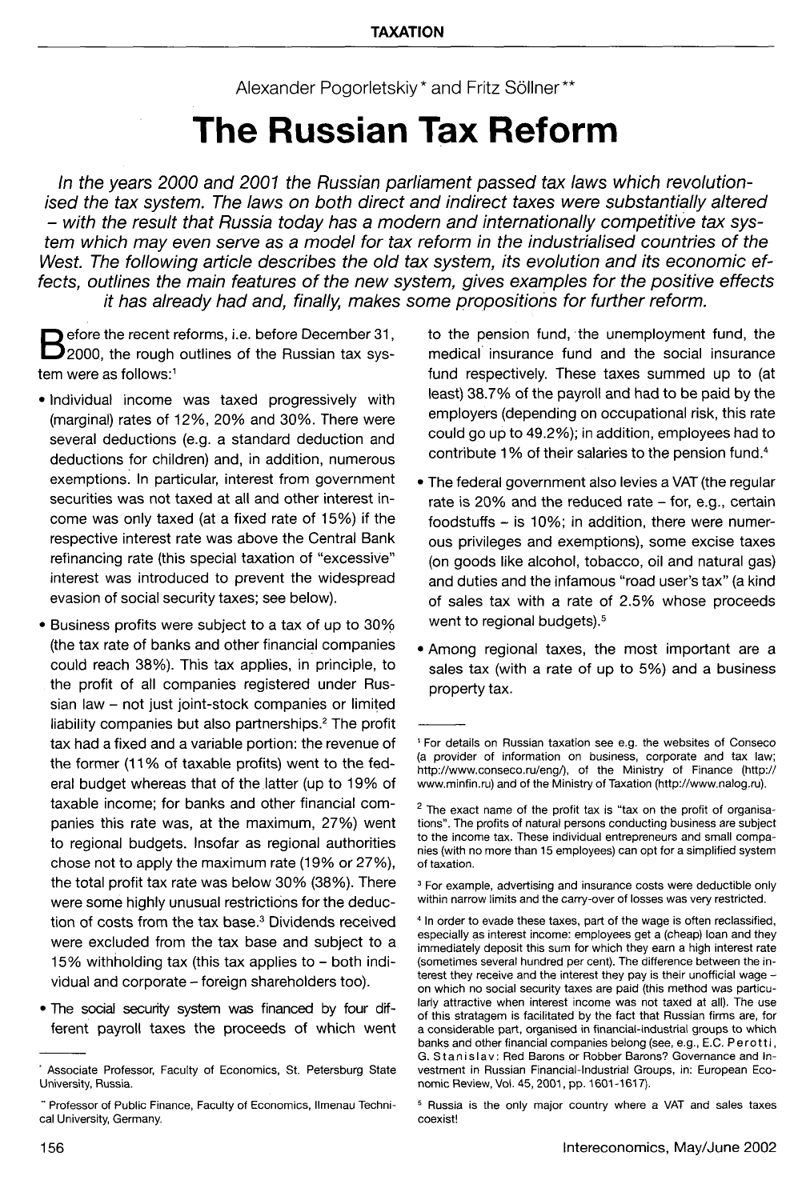Alexander Pogorletskiy\* and Fritz Söllner\*\*

## **The Russian Tax Reform**

In the years 2000 and 2001 the Russian parliament passed tax laws which revolutionised the tax system. The laws on both direct and indirect taxes were substantially altered - with the result that Russia today has a modern and internationally competitive tax system which may even serve as a model for tax reform in the industrialised countries of the West. The following article describes the old tax system, its evolution and its economic effects, outlines the main features of the new system, gives examples for the positive effects it has already had and, finally, makes some propositions for further reform.

Before the recent reforms, i.e. before December 31,<br>2000, the rough outlines of the Russian tax sys-2000, the rough outlines of the Russian tax system were as follows:<sup>1</sup>

- Individual income was taxed progressively with (marginal) rates of 12%, 20% and 30%. There were several deductions (e.g. a standard deduction and deductions for children) and, in addition, numerous exemptions. In particular, interest from government securities was not taxed at all and other interest income was only taxed (at a fixed rate of 15%) if the respective interest rate was above the Central Bank refinancing rate (this special taxation of "excessive" interest was introduced to prevent the widespread evasion of social security taxes; see below).
- Business profits were subject to a tax of up to 30% (the tax rate of banks and other financial companies could reach 38%). This tax applies, in principle, to the profit of all companies registered under Russian law - not just joint-stock companies or limited liability companies but also partnerships.<sup>2</sup> The profit tax had a fixed and a variable portion: the revenue of the former (11 % of taxable profits) went to the federal budget whereas that of the latter (up to 19% of taxable income; for banks and other financial companies this rate was, at the maximum, 27%) went to regional budgets. Insofar as regional authorities chose not to apply the maximum rate (19% or 27%), the total profit tax rate was below 30% (38%). There were some highly unusual restrictions for the deduction of costs from the tax base.<sup>3</sup> Dividends received were excluded from the tax base and subject to a 15% withholding tax (this tax applies to  $-$  both individual and corporate - foreign shareholders too).
- The social security system was financed by four different payroll taxes the proceeds of which went

to the pension fund, the unemployment fund, the medical insurance fund and the social insurance fund respectively. These taxes summed up to (at least) 38.7% of the payroll and had to be paid by the employers (depending on occupational risk, this rate could go up to 49.2%); in addition, employees had to contribute 1% of their salaries to the pension fund.<sup>4</sup>

- 1 The federal government also levies a VAT (the regular rate is 20% and the reduced rate  $-$  for, e.g., certain foodstuffs - is 10%; in addition, there were numerous privileges and exemptions), some excise taxes (on goods like alcohol, tobacco, oil and natural gas) and duties and the infamous "road user's tax" (a kind of sales tax with a rate of 2.5% whose proceeds went to regional budgets).<sup>5</sup>
- 1 Among regional taxes, the most important are a sales tax (with a rate of up to 5%) and a business property tax.

Associate Professor, Faculty of Economics, St. Petersburg State University, Russia.

<sup>&</sup>quot; Professor of Public Finance, Faculty of Economics, llmenau Technical University, Germany.

<sup>1</sup> For details on Russian taxation see e.g. the websites of Conseco (a provider of information on business, corporate and tax law; http://www.conseco.ru/eng/), of the Ministry of Finance (http:// www.minfin.ru) and of the Ministry of Taxation (http://www.nalog.ru).

<sup>&</sup>lt;sup>2</sup> The exact name of the profit tax is "tax on the profit of organisations". The profits of natural persons conducting business are subject to the income tax. These individual entrepreneurs and small companies (with no more than 15 employees) can opt for a simplified system of taxation.

<sup>&</sup>lt;sup>3</sup> For example, advertising and insurance costs were deductible only within narrow limits and the carry-over of losses was very restricted.

<sup>4</sup> In order to evade these taxes, part of the wage is often reclassified, especially as interest income: employees get a (cheap) loan and they immediately deposit this sum for which they earn a high interest rate (sometimes several hundred per cent). The difference between the interest they receive and the interest they pay is their unofficial wage on which no social security taxes are paid (this method was particularly attractive when interest income was not taxed at all). The use of this stratagem is facilitated by the fact that Russian firms are, for a considerable part, organised in financial-industrial groups to which banks and other financial companies belong (see, e.g., E.C. Perotti , G. Stanislav : Red Barons or Robber Barons? Governance and Investment in Russian Financial-Industrial Groups, in: European Economic Review, Vol. 45, 2001, pp. 1601 -1617).

<sup>5</sup> Russia is the only major country where a VAT and sales taxes coexist!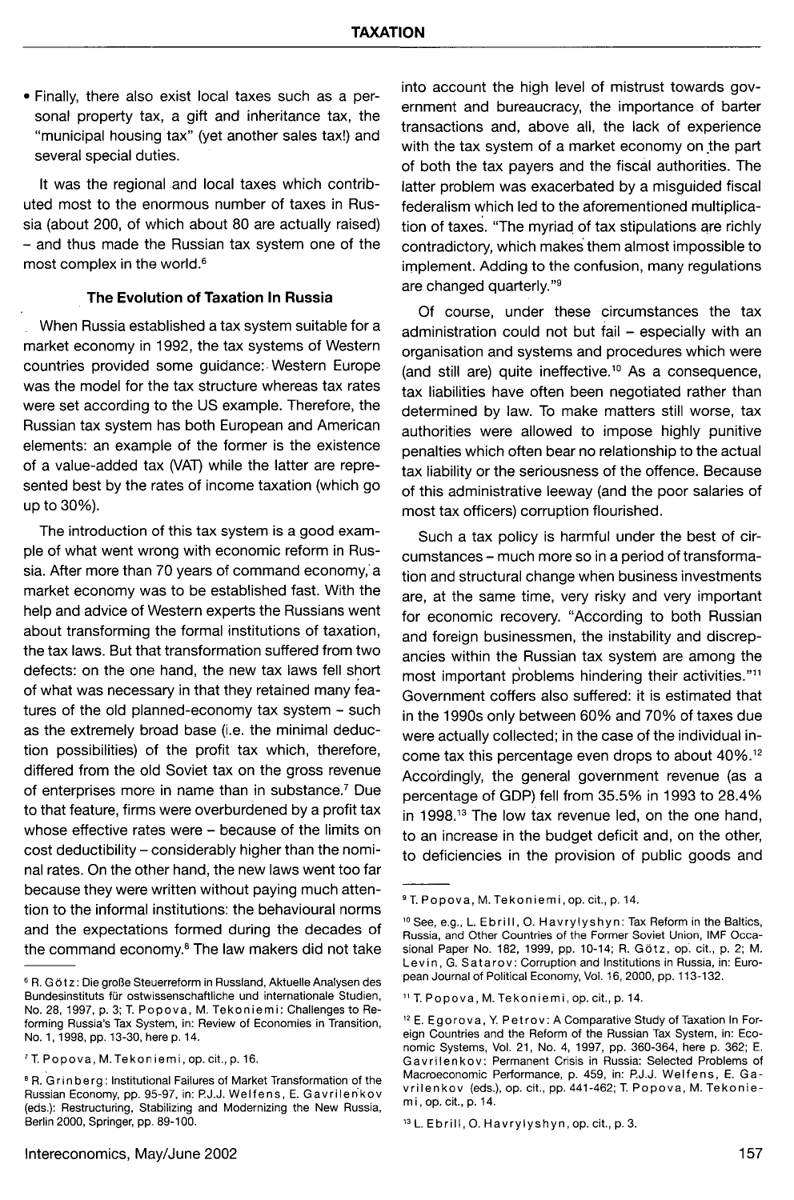• Finally, there also exist local taxes such as a personal property tax, a gift and inheritance tax, the "municipal housing tax" (yet another sales tax!) and several special duties.

It was the regional and local taxes which contributed most to the enormous number of taxes in Russia (about 200, of which about 80 are actually raised) - and thus made the Russian tax system one of the most complex in the world.<sup>6</sup>

#### **The Evolution of Taxation In Russia**

When Russia established a tax system suitable for a market economy in 1992, the tax systems of Western countries provided some guidance: Western Europe was the model for the tax structure whereas tax rates were set according to the US example. Therefore, the Russian tax system has both European and American elements: an example of the former is the existence of a value-added tax (VAT) while the latter are represented best by the rates of income taxation (which go up to 30%).

The introduction of this tax system is a good example of what went wrong with economic reform in Russia. After more than 70 years of command economy, a market economy was to be established fast. With the help and advice of Western experts the Russians went about transforming the formal institutions of taxation, the tax laws. But that transformation suffered from two defects: on the one hand, the new tax laws fell short of what was necessary in that they retained many features of the old planned-economy  $tax$  system  $-$  such as the extremely broad base (i.e. the minimal deduction possibilities) of the profit tax which, therefore, differed from the old Soviet tax on the gross revenue of enterprises more in name than in substance.<sup>7</sup> Due to that feature, firms were overburdened by a profit tax whose effective rates were - because of the limits on cost deductibility - considerably higher than the nominal rates. On the other hand, the new laws went too far because they were written without paying much attention to the informal institutions: the behavioural norms and the expectations formed during the decades of the command economy.<sup>8</sup> The law makers did not take

into account the high level of mistrust towards government and bureaucracy, the importance of barter transactions and, above all, the lack of experience with the tax system of a market economy on the part of both the tax payers and the fiscal authorities. The latter problem was exacerbated by a misguided fiscal federalism which led to the aforementioned multiplication of taxes. "The myriad of tax stipulations are richly contradictory, which makes them almost impossible to implement. Adding to the confusion, many regulations are changed quarterly."<sup>9</sup>

Of course, under these circumstances the tax administration could not but fail - especially with an organisation and systems and procedures which were (and still are) quite ineffective.<sup>10</sup> As a consequence, tax liabilities have often been negotiated rather than determined by law. To make matters still worse, tax authorities were allowed to impose highly punitive penalties which often bear no relationship to the actual tax liability or the seriousness of the offence. Because of this administrative leeway (and the poor salaries of most tax officers) corruption flourished.

Such a tax policy is harmful under the best of circumstances - much more so in a period of transformation and structural change when business investments are, at the same time, very risky and very important for economic recovery. "According to both Russian and foreign businessmen, the instability and discrepancies within the Russian tax system are among the most important problems hindering their activities."<sup>11</sup> Government coffers also suffered: it is estimated that in the 1990s only between 60% and 70% of taxes due were actually collected; in the case of the individual income tax this percentage even drops to about 40%.<sup>12</sup> Accordingly, the general government revenue (as a percentage of GDP) fell from 35.5% in 1993 to 28.4% in 1998.<sup>13</sup> The low tax revenue led, on the one hand, to an increase in the budget deficit and, on the other, to deficiencies in the provision of public goods and

<sup>&</sup>lt;sup>6</sup> R. Götz: Die große Steuerreform in Russland, Aktuelle Analysen des Bundesinstituts **fur** ostwissenschaftliche und internationale Studien, No. 28, 1997, p. 3; T. Popova, M. Tekoniemi: Challenges to Reforming Russia's Tax System, in: Review of Economies in Transition, No. 1,1998, pp. 13-30, here p. 14.

<sup>7</sup> T. Popova, M.Tekoniemi, op. cit, p. 16.

<sup>&</sup>lt;sup>8</sup> R. Grinberg: Institutional Failures of Market Transformation of the Russian Economy, pp. 95-97, in: P.J.J. Welfens, E. Gavrilenkov (eds.): Restructuring, Stabilizing and Modernizing the New Russia, Berlin 2000, Springer, pp. 89-100.

<sup>9</sup> T. Popova, M.Tekoniemi, op. cit., p. 14.

<sup>&</sup>lt;sup>10</sup> See, e.g., L. Ebrill, O. Havrylyshyn: Tax Reform in the Baltics, Russia, and Other Countries of the Former Soviet Union, IMF Occasional Paper No. 182, 1999, pp. 10-14; R. Gotz , op. cit., p. 2; M. Levin, G. Satarov : Corruption and Institutions in Russia, in: European Journal of Political Economy, Vol. 16, 2000, pp. 113-132.

<sup>11</sup> T. Popova, M.Tekoniemi, op. cit., p. 14.

<sup>12</sup> E. Egorova, Y. Petrov: A Comparative Study of Taxation In Foreign Countries and the Reform of the Russian Tax System, in: Economic Systems, Vol. 21, No. 4, 1997, pp. 360-364, here p. 362; E. Gavrilenkov: Permanent Crisis in Russia: Selected Problems of Macroeconomic Performance, p. 459, in: P.J.J. Welfens , E. Gavrilenkov (eds.), op. cit., pp. 441-462; T. Popova, M. Tekoniemi, op. cit., p. 14.

<sup>13</sup> L. Ebrill, O. Havrylyshyn , op. cit., p. 3.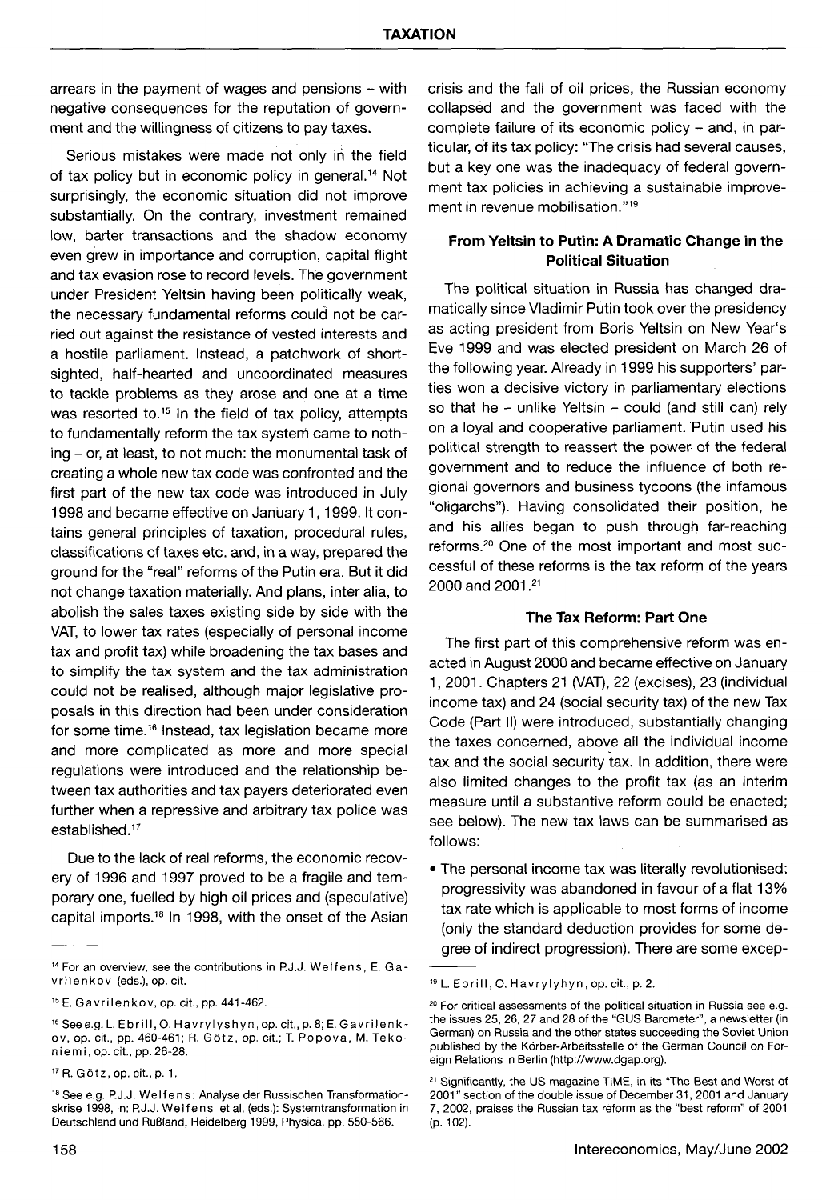arrears in the payment of wages and pensions – with negative consequences for the reputation of government and the willingness of citizens to pay taxes.

Serious mistakes were made not only in the field of tax policy but in economic policy in general.<sup>14</sup> Not surprisingly, the economic situation did not improve substantially. On the contrary, investment remained low, barter transactions and the shadow economy even grew in importance and corruption, capital flight and tax evasion rose to record levels. The government under President Yeltsin having been politically weak, the necessary fundamental reforms could not be carried out against the resistance of vested interests and a hostile parliament. Instead, a patchwork of shortsighted, half-hearted and uncoordinated measures to tackle problems as they arose and one at a time was resorted to.<sup>15</sup> In the field of tax policy, attempts to fundamentally reform the tax system came to nothing - or, at least, to not much: the monumental task of creating a whole new tax code was confronted and the first part of the new tax code was introduced in July 1998 and became effective on January 1,1999. It contains general principles of taxation, procedural rules, classifications of taxes etc. and, in a way, prepared the ground for the "real" reforms of the Putin era. But it did not change taxation materially. And plans, inter alia, to abolish the sales taxes existing side by side with the VAT, to lower tax rates (especially of personal income tax and profit tax) while broadening the tax bases and to simplify the tax system and the tax administration could not be realised, although major legislative proposals in this direction had been under consideration for some time.<sup>16</sup> Instead, tax legislation became more and more complicated as more and more special regulations were introduced and the relationship between tax authorities and tax payers deteriorated even further when a repressive and arbitrary tax police was established.<sup>17</sup>

Due to the lack of real reforms, the economic recovery of 1996 and 1997 proved to be a fragile and temporary one, fuelled by high oil prices and (speculative) capital imports.<sup>18</sup> In 1998, with the onset of the Asian

crisis and the fall of oil prices, the Russian economy collapsed and the government was faced with the complete failure of its economic policy - and, in particular, of its tax policy: "The crisis had several causes, but a key one was the inadequacy of federal government tax policies in achieving a sustainable improvement in revenue mobilisation."<sup>19</sup>

#### **From Yeltsin to Putin: A Dramatic Change in the Political Situation**

The political situation in Russia has changed dramatically since Vladimir Putin took over the presidency as acting president from Boris Yeltsin on New Year's Eve 1999 and was elected president on March 26 of the following year. Already in 1999 his supporters' parties won a decisive victory in parliamentary elections so that he  $-$  unlike Yeltsin  $-$  could (and still can) rely on a loyal and cooperative parliament. Putin used his political strength to reassert the power of the federal government and to reduce the influence of both regional governors and business tycoons (the infamous "oligarchs"). Having consolidated their position, he and his allies began to push through far-reaching reforms.<sup>20</sup> One of the most important and most successful of these reforms is the tax reform of the years 2000 and 2001.<sup>21</sup>

#### **The Tax Reform: Part One**

The first part of this comprehensive reform was enacted in August 2000 and became effective on January 1, 2001. Chapters 21 (VAT), 22 (excises), 23 (individual income tax) and 24 (social security tax) of the new Tax Code (Part II) were introduced, substantially changing the taxes concerned, above all the individual income tax and the social security tax. In addition, there were also limited changes to the profit tax (as an interim measure until a substantive reform could be enacted; see below). The new tax laws can be summarised as follows:

• The personal income tax was literally revolutionised: progressivity was abandoned in favour of a flat 13% tax rate which is applicable to most forms of income (only the standard deduction provides for some degree of indirect progression). There are some excep-

<sup>14</sup> For an overview, see the contributions in P.J.J. Welfens , E. Gavrilenkov (eds.), op. cit.

<sup>15</sup> E. Gavrilenkov, op. cit., pp. 441-462.

<sup>16</sup> See e.g. L Ebrill, O. Havrylyshyn, op. cit., p. 8; E. Gavrilenk ov, op. cit., pp. 460-461; R. Gotz, op. cit.; T. Popova, M. Tekoniemi, op. cit., pp. 26-28.

<sup>17</sup> R. Gotz, op. cit, p. 1.

<sup>18</sup> See e.g. P.J.J. Welfens: Analyse der Russischen Transformationskrise 1998, in: P.J.J. Welfens et al. (eds.): Systemtransformation in Deutschland und RuBland, Heidelberg 1999, Physica, pp. 550-566.

<sup>19</sup> L. Ebrill, O. Havrylyhyn.op. cit., p. 2.

<sup>&</sup>lt;sup>20</sup> For critical assessments of the political situation in Russia see e.g. the issues 25, 26, 27 and 28 of the "GUS Barometer", a newsletter (in German) on Russia and the other states succeeding the Soviet Union published by the Körber-Arbeitsstelle of the German Council on Foreign Relations in Berlin (http://www.dgap.org).

<sup>&</sup>lt;sup>21</sup> Significantly, the US magazine TIME, in its "The Best and Worst of 2001" section of the double issue of December 31, 2001 and January 7, 2002, praises the Russian tax reform as the "best reform" of 2001 (p. 102).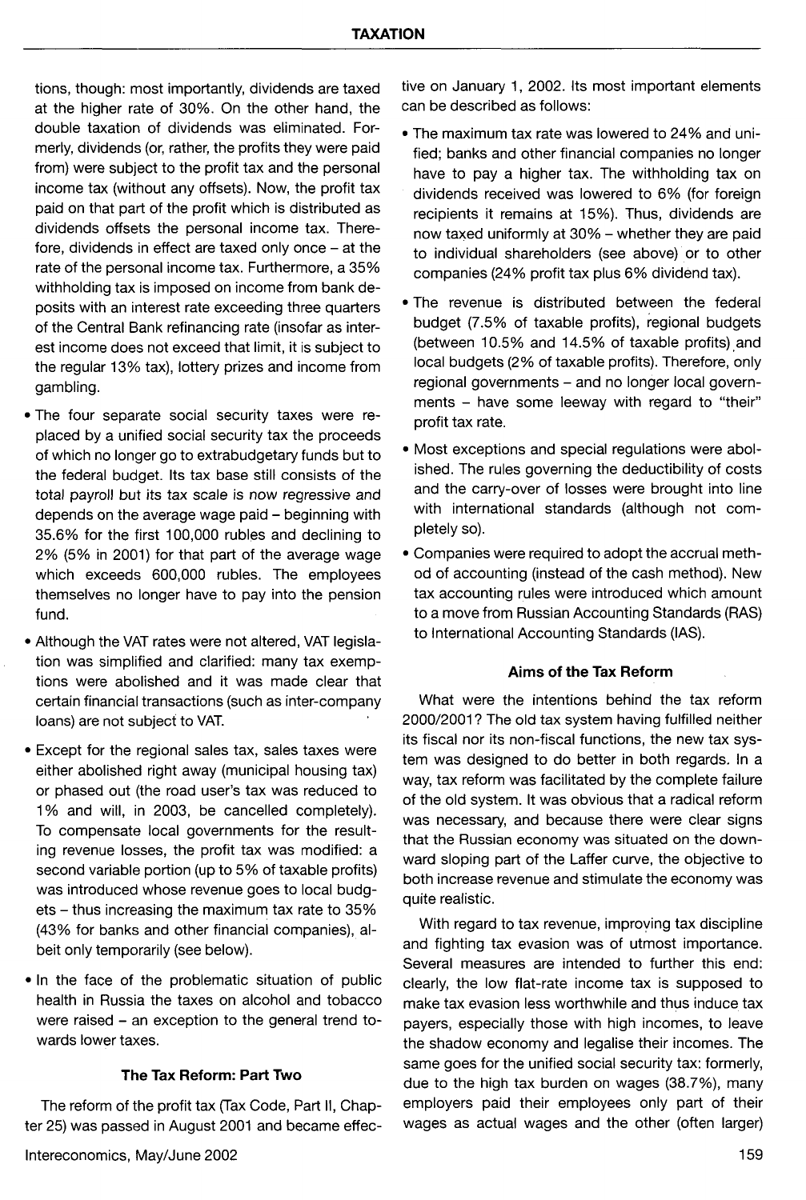tions, though: most importantly, dividends are taxed at the higher rate of 30%. On the other hand, the double taxation of dividends was eliminated. Formerly, dividends (or, rather, the profits they were paid from) were subject to the profit tax and the personal income tax (without any offsets). Now, the profit tax paid on that part of the profit which is distributed as dividends offsets the personal income tax. Therefore, dividends in effect are taxed only once  $-$  at the rate of the personal income tax. Furthermore, a 35% withholding tax is imposed on income from bank deposits with an interest rate exceeding three quarters of the Central Bank refinancing rate (insofar as interest income does not exceed that limit, it is subject to the regular 13% tax), lottery prizes and income from gambling.

- The four separate social security taxes were replaced by a unified social security tax the proceeds of which no longer go to extrabudgetary funds but to the federal budget. Its tax base still consists of the total payroll but its tax scale is now regressive and depends on the average wage paid - beginning with 35.6% for the first 100,000 rubles and declining to 2% (5% in 2001) for that part of the average wage which exceeds 600,000 rubles. The employees themselves no longer have to pay into the pension fund.
- Although the VAT rates were not altered, VAT legislation was simplified and clarified: many tax exemptions were abolished and it was made clear that certain financial transactions (such as inter-company loans) are not subject to VAT.
- Except for the regional sales tax, sales taxes were either abolished right away (municipal housing tax) or phased out (the road user's tax was reduced to 1% and will, in 2003, be cancelled completely). To compensate local governments for the resulting revenue losses, the profit tax was modified: a second variable portion (up to 5% of taxable profits) was introduced whose revenue goes to local budgets - thus increasing the maximum tax rate to 35% (43% for banks and other financial companies), albeit only temporarily (see below).
- In the face of the problematic situation of public health in Russia the taxes on alcohol and tobacco were raised - an exception to the general trend towards lower taxes.

#### **The Tax Reform: Part Two**

The reform of the profit tax (Tax Code, Part II, Chapter 25) was passed in August 2001 and became effective on January 1, 2002. Its most important elements can be described as follows:

- The maximum tax rate was lowered to 24% and unified; banks and other financial companies no longer have to pay a higher tax. The withholding tax on dividends received was lowered to 6% (for foreign recipients it remains at 15%). Thus, dividends are now taxed uniformly at 30% - whether they are paid to individual shareholders (see above) or to other companies (24% profit tax plus 6% dividend tax).
- The revenue is distributed between the federal budget (7.5% of taxable profits), regional budgets (between 10.5% and 14.5% of taxable profits) and local budgets (2% of taxable profits). Therefore, only regional governments - and no longer local governments - have some leeway with regard to "their" profit tax rate.
- Most exceptions and special regulations were abolished. The rules governing the deductibility of costs and the carry-over of losses were brought into line with international standards (although not completely so).
- Companies were required to adopt the accrual method of accounting (instead of the cash method). New tax accounting rules were introduced which amount to a move from Russian Accounting Standards (RAS) to International Accounting Standards (IAS).

#### **Aims of the Tax Reform**

What were the intentions behind the tax reform 2000/2001? The old tax system having fulfilled neither its fiscal nor its non-fiscal functions, the new tax system was designed to do better in both regards. In a way, tax reform was facilitated by the complete failure of the old system. It was obvious that a radical reform was necessary, and because there were clear signs that the Russian economy was situated on the downward sloping part of the Laffer curve, the objective to both increase revenue and stimulate the economy was quite realistic.

With regard to tax revenue, improving tax discipline and fighting tax evasion was of utmost importance. Several measures are intended to further this end: clearly, the low flat-rate income tax is supposed to make tax evasion less worthwhile and thus induce tax payers, especially those with high incomes, to leave the shadow economy and legalise their incomes. The same goes for the unified social security tax: formerly, due to the high tax burden on wages (38.7%), many employers paid their employees only part of their wages as actual wages and the other (often larger)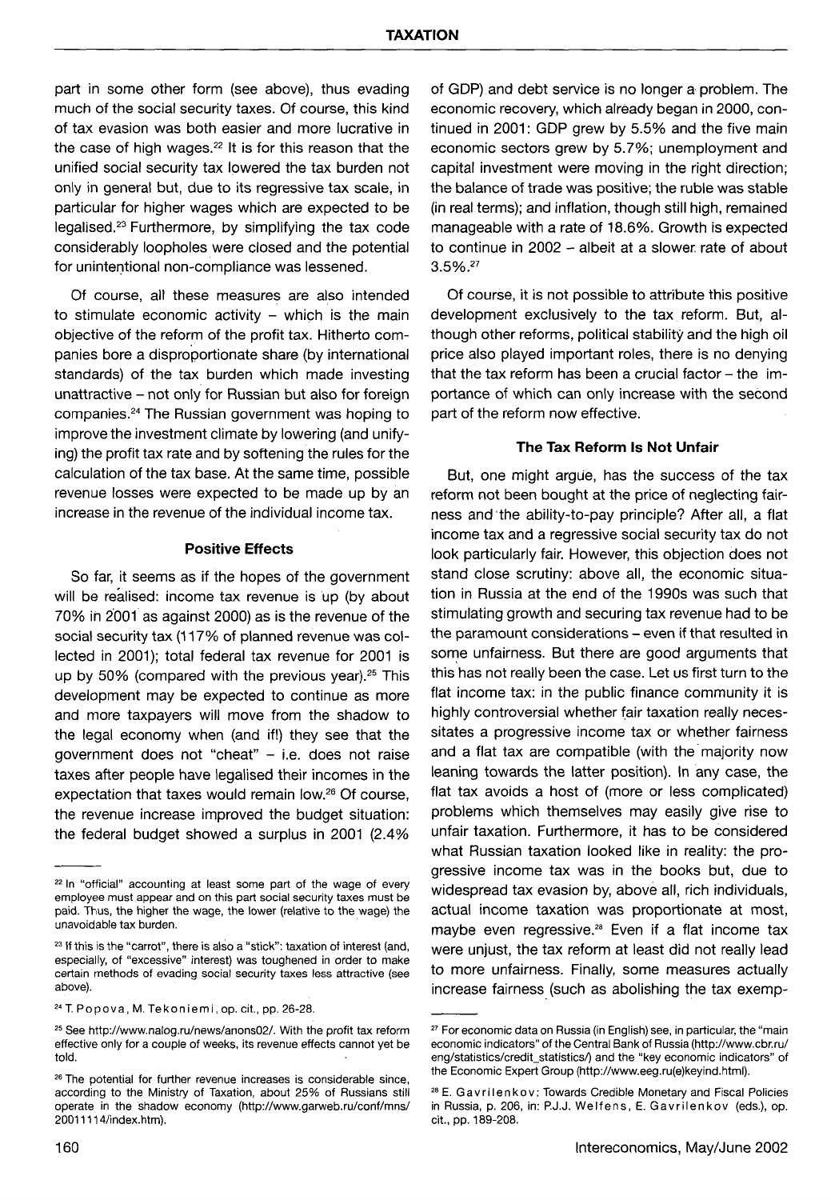part in some other form (see above), thus evading much of the social security taxes. Of course, this kind of tax evasion was both easier and more lucrative in the case of high wages.<sup>22</sup> It is for this reason that the unified social security tax lowered the tax burden not only in general but, due to its regressive tax scale, in particular for higher wages which are expected to be legalised.<sup>23</sup> Furthermore, by simplifying the tax code considerably loopholes were closed and the potential for unintentional non-compliance was lessened.

Of course, all these measures are also intended to stimulate economic activity  $-$  which is the main objective of the reform of the profit tax. Hitherto companies bore a disproportionate share (by international standards) of the tax burden which made investing unattractive - not only for Russian but also for foreign companies.<sup>24</sup> The Russian government was hoping to improve the investment climate by lowering (and unifying) the profit tax rate and by softening the rules for the calculation of the tax base. At the same time, possible revenue losses were expected to be made up by an increase in the revenue of the individual income tax.

#### **Positive Effects**

So far, it seems as if the hopes of the government will be realised: income tax revenue is up (by about 70% in 2001 as against 2000) as is the revenue of the social security tax (117% of planned revenue was collected in 2001); total federal tax revenue for 2001 is up by 50% (compared with the previous year).<sup>25</sup> This development may be expected to continue as more and more taxpayers will move from the shadow to the legal economy when (and if!) they see that the government does not "cheat"  $-$  i.e. does not raise taxes after people have legalised their incomes in the expectation that taxes would remain low.<sup>26</sup> Of course, the revenue increase improved the budget situation: the federal budget showed a surplus in 2001 (2.4%

of GDP) and debt service is no longer a problem. The economic recovery, which already began in 2000, continued in 2001: GDP grew by 5.5% and the five main economic sectors grew by 5.7%; unemployment and capital investment were moving in the right direction; the balance of trade was positive; the ruble was stable (in real terms); and inflation, though still high, remained manageable with a rate of 18.6%. Growth is expected to continue in 2002 - albeit at a slower rate of about 3.5%.<sup>27</sup>

Of course, it is not possible to attribute this positive development exclusively to the tax reform. But, although other reforms, political stability and the high oil price also played important roles, there is no denying that the tax reform has been a crucial factor  $-$  the importance of which can only increase with the second part of the reform now effective.

#### **The Tax Reform Is Not Unfair**

But, one might argue, has the success of the tax reform not been bought at the price of neglecting fairness and the ability-to-pay principle? After all, a flat income tax and a regressive social security tax do not look particularly fair. However, this objection does not stand close scrutiny: above all, the economic situation in Russia at the end of the 1990s was such that stimulating growth and securing tax revenue had to be the paramount considerations - even if that resulted in some unfairness. But there are good arguments that this has not really been the case. Let us first turn to the flat income tax: in the public finance community it is highly controversial whether fair taxation really necessitates a progressive income tax or whether fairness and a flat tax are compatible (with the majority now leaning towards the latter position). In any case, the flat tax avoids a host of (more or less complicated) problems which themselves may easily give rise to unfair taxation. Furthermore, it has to be considered what Russian taxation looked like in reality: the progressive income tax was in the books but, due to widespread tax evasion by, above all, rich individuals, actual income taxation was proportionate at most, maybe even regressive.<sup>28</sup> Even if a flat income tax were unjust, the tax reform at least did not really lead to more unfairness. Finally, some measures actually increase fairness (such as abolishing the tax exemp-

<sup>&</sup>lt;sup>22</sup> In "official" accounting at least some part of the wage of every employee must appear and on this part social security taxes must be paid. Thus, the higher the wage, the lower (relative to the wage) the unavoidable tax burden.

<sup>&</sup>lt;sup>23</sup> If this is the "carrot", there is also a "stick": taxation of interest (and, especially, of "excessive" interest) was toughened in order to make certain methods of evading social security taxes less attractive (see above).

<sup>24</sup> T. Popova, M. Tekoniemi, op. cit., pp. 26-28.

<sup>25</sup> See http://www.nalog.ru/news/anons02/. With the profit tax reform effective only for a couple of weeks, its revenue effects cannot yet be told.

<sup>&</sup>lt;sup>26</sup> The potential for further revenue increases is considerable since, according to the Ministry of Taxation, about 25% of Russians still operate in the shadow economy (http://www.garweb.ru/conf/mns/ 20011114/index.htm).

<sup>&</sup>lt;sup>27</sup> For economic data on Russia (in English) see, in particular, the "main economic indicators" of the Central Bank of Russia (http://www.cbr.ru/ eng/statistics/credit\_statistics/) and the "key economic indicators" of the Economic Expert Group (http://www.eeg.ru(e)keyind.html).

<sup>&</sup>lt;sup>28</sup> E. Gavrilenkov: Towards Credible Monetary and Fiscal Policies in Russia, p. 206, in: P.J.J. Welfens, E. Gavrilenkov (eds.), op. cit., pp. 189-208.